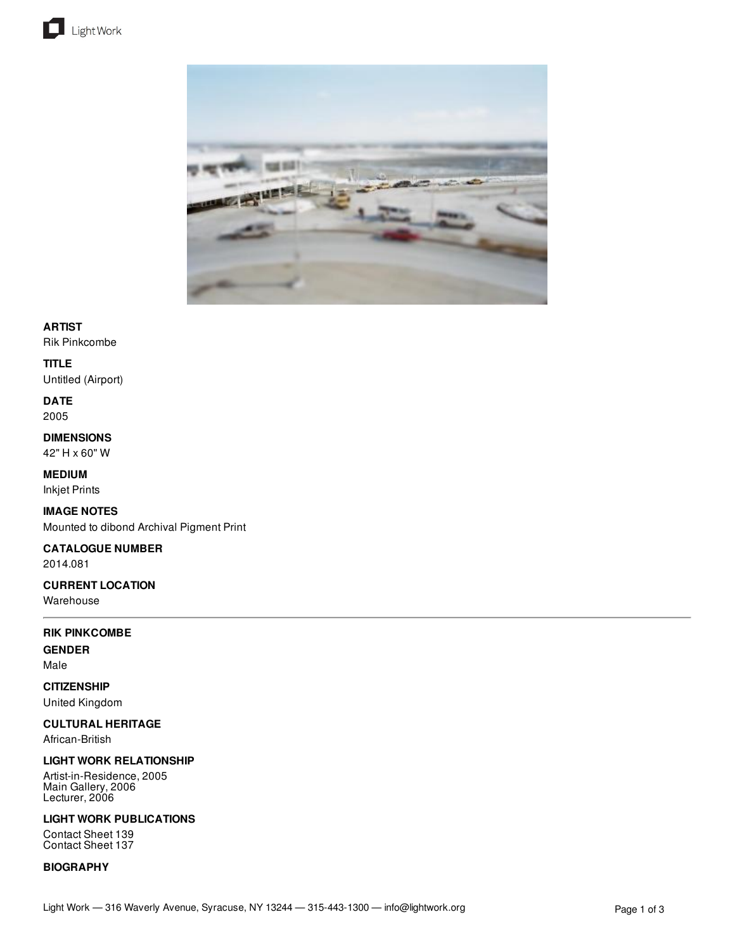



### **ARTIST**

Rik Pinkcombe

#### **TITLE**

Untitled (Airport)

# **DATE**

2005

#### **DIMENSIONS** 42" H x 60" W

## **MEDIUM**

Inkjet Prints

## **IMAGE NOTES**

Mounted to dibond Archival Pigment Print

#### **CATALOGUE NUMBER** 2014.081

## **CURRENT LOCATION**

Warehouse

#### **RIK PINKCOMBE**

**GENDER**

## Male

**CITIZENSHIP**

## United Kingdom

**CULTURAL HERITAGE**

African-British

### **LIGHT WORK RELATIONSHIP**

Artist-in-Residence, 2005 Main Gallery, 2006 Lecturer, 2006

## **LIGHT WORK PUBLICATIONS**

Contact Sheet 139 Contact Sheet 137

### **BIOGRAPHY**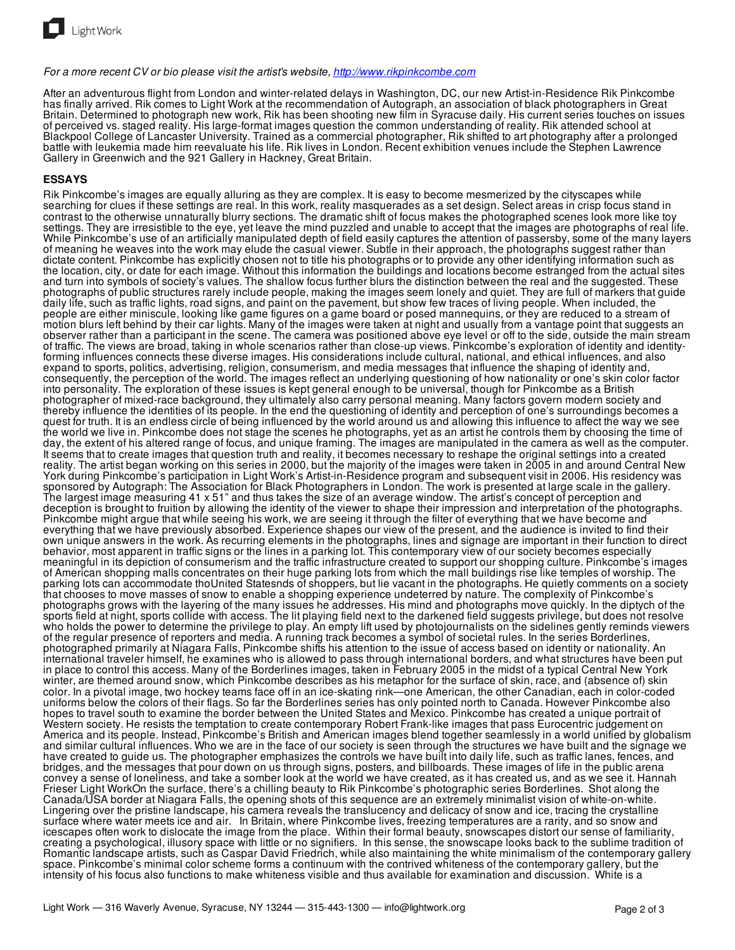

#### *For a more recent CV or bio please visit the artist's website, <http://www.rikpinkcombe.com>*

After an adventurous flight from London and winter-related delays in Washington, DC, our new Artist-in-Residence Rik Pinkcombe has finally arrived. Rik comes to Light Work at the recommendation of Autograph, an association of black photographers in Great Britain. Determined to photograph new work, Rik has been shooting new film in Syracuse daily. His current series touches on issues of perceived vs. staged reality. His large-format images question the common understanding of reality. Rik attended school at Blackpool College of Lancaster University. Trained as a commercial photographer, Rik shifted to art photography after a prolonged battle with leukemia made him reevaluate his life. Rik lives in London. Recent exhibition venues include the Stephen Lawrence Gallery in Greenwich and the 921 Gallery in Hackney, Great Britain.

#### **ESSAYS**

Rik Pinkcombe's images are equally alluring as they are complex. It is easy to become mesmerized by the cityscapes while searching for clues if these settings are real. In this work, reality masquerades as a set design. Select areas in crisp focus stand in contrast to the otherwise unnaturally blurry sections. The dramatic shift of focus makes the photographed scenes look more like toy settings. They are irresistible to the eye, yet leave the mind puzzled and unable to accept that the images are photographs of real life. While Pinkcombe's use of an artificially manipulated depth of field easily captures the attention of passersby, some of the many layers of meaning he weaves into the work may elude the casual viewer. Subtle in their approach, the photographs suggest rather than dictate content. Pinkcombe has explicitly chosen not to title his photographs or to provide any other identifying information such as the location, city, or date for each image. Without this information the buildings and locations become estranged from the actual sites and turn into symbols of society's values. The shallow focus further blurs the distinction between the real and the suggested. These photographs of public structures rarely include people, making the images seem lonely and quiet. They are full of markers that guide daily life, such as traffic lights, road signs, and paint on the pavement, but show few traces of living people. When included, the people are either miniscule, looking like game figures on a game board or posed mannequins, or they are reduced to a stream of motion blurs left behind by their car lights. Many of the images were taken at night and usually from a vantage point that suggests an observer rather than a participant in the scene. The camera was positioned above eye level or off to the side, outside the main stream of traffic. The views are broad, taking in whole scenarios rather than close-up views. Pinkcombe's exploration of identity and identityforming influences connects these diverse images. His considerations include cultural, national, and ethical influences, and also expand to sports, politics, advertising, religion, consumerism, and media messages that influence the shaping of identity and, consequently, the perception of the world. The images reflect an underlying questioning of how nationality or one's skin color factor into personality. The exploration of these issues is kept general enough to be universal, though for Pinkcombe as a British photographer of mixed-race background, they ultimately also carry personal meaning. Many factors govern modern society and thereby influence the identities of its people. In the end the questioning of identity and perception of one's surroundings becomes a quest for truth. It is an endless circle of being influenced by the world around us and allowing this influence to affect the way we see the world we live in. Pinkcombe does not stage the scenes he photographs, yet as an artist he controls them by choosing the time of day, the extent of his altered range of focus, and unique framing. The images are manipulated in the camera as well as the computer. It seems that to create images that question truth and reality, it becomes necessary to reshape the original settings into a created reality. The artist began working on this series in 2000, but the majority of the images were taken in 2005 in and around Central New York during Pinkcombe's participation in Light Work's Artist-in-Residence program and subsequent visit in 2006. His residency was sponsored by Autograph: The Association for Black Photographers in London. The work is presented at large scale in the gallery. The largest image measuring 41 x 51" and thus takes the size of an average window. The artist's concept of perception and deception is brought to fruition by allowing the identity of the viewer to shape their impression and interpretation of the photographs. Pinkcombe might argue that while seeing his work, we are seeing it through the filter of everything that we have become and everything that we have previously absorbed. Experience shapes our view of the present, and the audience is invited to find their own unique answers in the work. As recurring elements in the photographs, lines and signage are important in their function to direct behavior, most apparent in traffic signs or the lines in a parking lot. This contemporary view of our society becomes especially meaningful in its depiction of consumerism and the traffic infrastructure created to support our shopping culture. Pinkcombe's images of American shopping malls concentrates on their huge parking lots from which the mall buildings rise like temples of worship. The parking lots can accommodate thoUnited Statesnds of shoppers, but lie vacant in the photographs. He quietly comments on a society that chooses to move masses of snow to enable a shopping experience undeterred by nature. The complexity of Pinkcombe's photographs grows with the layering of the many issues he addresses. His mind and photographs move quickly. In the diptych of the sports field at night, sports collide with access. The lit playing field next to the darkened field suggests privilege, but does not resolve who holds the power to determine the privilege to play. An empty lift used by photojournalists on the sidelines gently reminds viewers of the regular presence of reporters and media. A running track becomes a symbol of societal rules. In the series Borderlines, photographed primarily at Niagara Falls, Pinkcombe shifts his attention to the issue of access based on identity or nationality. An international traveler himself, he examines who is allowed to pass through international borders, and what structures have been put in place to control this access. Many of the Borderlines images, taken in February 2005 in the midst of a typical Central New York winter, are themed around snow, which Pinkcombe describes as his metaphor for the surface of skin, race, and (absence of) skin color. In a pivotal image, two hockey teams face off in an ice-skating rink—one American, the other Canadian, each in color-coded uniforms below the colors of their flags. So far the Borderlines series has only pointed north to Canada. However Pinkcombe also hopes to travel south to examine the border between the United States and Mexico. Pinkcombe has created a unique portrait of Western society. He resists the temptation to create contemporary Robert Frank-like images that pass Eurocentric judgement on America and its people. Instead, Pinkcombe's British and American images blend together seamlessly in a world unified by globalism and similar cultural influences. Who we are in the face of our society is seen through the structures we have built and the signage we have created to guide us. The photographer emphasizes the controls we have built into daily life, such as traffic lanes, fences, and bridges, and the messages that pour down on us through signs, posters, and billboards. These images of life in the public arena convey a sense of loneliness, and take a somber look at the world we have created, as it has created us, and as we see it. Hannah Frieser Light WorkOn the surface, there's a chilling beauty to Rik Pinkcombe's photographic series Borderlines. Shot along the Canada/USA border at Niagara Falls, the opening shots of this sequence are an extremely minimalist vision of white-on-white. Lingering over the pristine landscape, his camera reveals the translucency and delicacy of snow and ice, tracing the crystalline surface where water meets ice and air. In Britain, where Pinkcombe lives, freezing temperatures are a rarity, and so snow and icescapes often work to dislocate the image from the place. Within their formal beauty, snowscapes distort our sense of familiarity, creating a psychological, illusory space with little or no signifiers. In this sense, the snowscape looks back to the sublime tradition of Romantic landscape artists, such as Caspar David Friedrich, while also maintaining the white minimalism of the contemporary gallery space. Pinkcombe's minimal color scheme forms a continuum with the contrived whiteness of the contemporary gallery, but the intensity of his focus also functions to make whiteness visible and thus available for examination and discussion. White is a